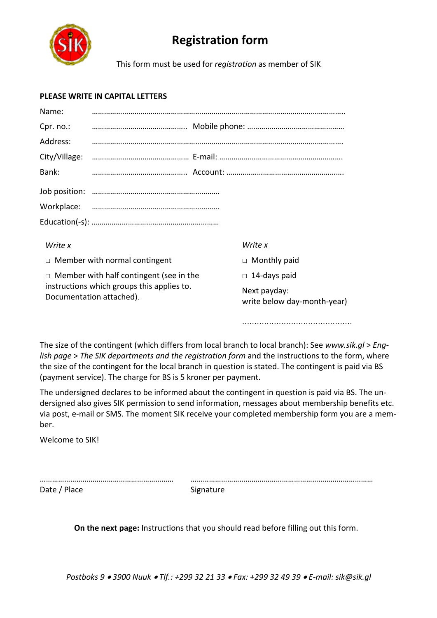

## **Registration form**

This form must be used for *registration* as member of SIK

## **PLEASE WRITE IN CAPITAL LETTERS**

| Name:                                          |                                                                        |                                             |  |  |
|------------------------------------------------|------------------------------------------------------------------------|---------------------------------------------|--|--|
| $Cpr. no.$ :                                   |                                                                        |                                             |  |  |
| Address:                                       |                                                                        |                                             |  |  |
| City/Village:                                  |                                                                        |                                             |  |  |
| Bank:                                          |                                                                        |                                             |  |  |
|                                                |                                                                        |                                             |  |  |
| Workplace:                                     |                                                                        |                                             |  |  |
|                                                |                                                                        |                                             |  |  |
|                                                |                                                                        |                                             |  |  |
| Write x                                        |                                                                        | Write x                                     |  |  |
|                                                | $\Box$ Member with normal contingent                                   | $\Box$ Monthly paid                         |  |  |
| $\Box$ Member with half contingent (see in the |                                                                        | $\Box$ 14-days paid                         |  |  |
|                                                | instructions which groups this applies to.<br>Documentation attached). | Next payday:<br>write below day-month-year) |  |  |
|                                                |                                                                        |                                             |  |  |

The size of the contingent (which differs from local branch to local branch): See *www.sik.gl* > *English page* > *The SIK departments and the registration form* and the instructions to the form, where the size of the contingent for the local branch in question is stated. The contingent is paid via BS (payment service). The charge for BS is 5 kroner per payment.

………………………………………

The undersigned declares to be informed about the contingent in question is paid via BS. The undersigned also gives SIK permission to send information, messages about membership benefits etc. via post, e-mail or SMS. The moment SIK receive your completed membership form you are a member.

Welcome to SIK!

| Date $/$ | - -        |
|----------|------------|
| . PIACA. | Nighatlire |

**On the next page:** Instructions that you should read before filling out this form.

*Postboks 9* • *3900 Nuuk* • *Tlf.: +299 32 21 33* • *Fax: +299 32 49 39* • *E-mail: sik@sik.gl*